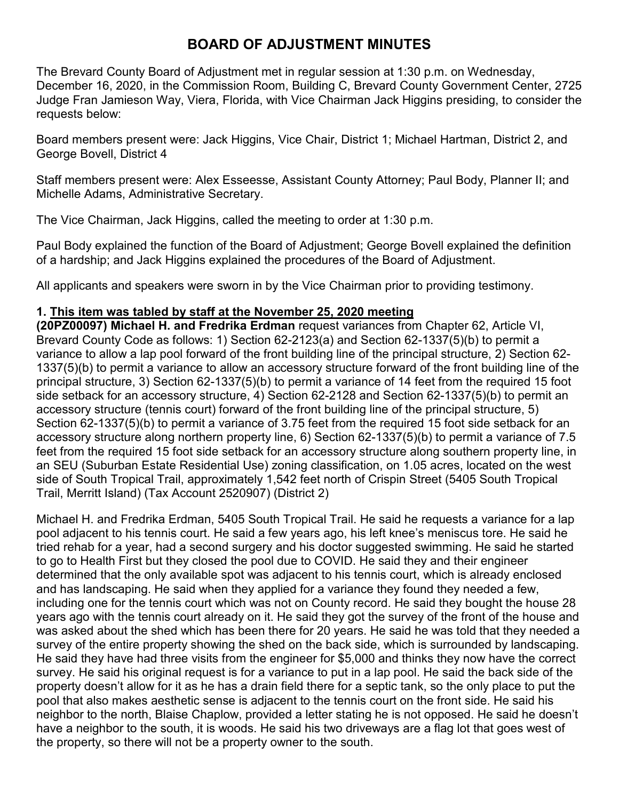# **BOARD OF ADJUSTMENT MINUTES**

The Brevard County Board of Adjustment met in regular session at 1:30 p.m. on Wednesday, December 16, 2020, in the Commission Room, Building C, Brevard County Government Center, 2725 Judge Fran Jamieson Way, Viera, Florida, with Vice Chairman Jack Higgins presiding, to consider the requests below:

Board members present were: Jack Higgins, Vice Chair, District 1; Michael Hartman, District 2, and George Bovell, District 4

Staff members present were: Alex Esseesse, Assistant County Attorney; Paul Body, Planner II; and Michelle Adams, Administrative Secretary.

The Vice Chairman, Jack Higgins, called the meeting to order at 1:30 p.m.

Paul Body explained the function of the Board of Adjustment; George Bovell explained the definition of a hardship; and Jack Higgins explained the procedures of the Board of Adjustment.

All applicants and speakers were sworn in by the Vice Chairman prior to providing testimony.

## **1. This item was tabled by staff at the November 25, 2020 meeting**

**(20PZ00097) Michael H. and Fredrika Erdman** request variances from Chapter 62, Article VI, Brevard County Code as follows: 1) Section 62-2123(a) and Section 62-1337(5)(b) to permit a variance to allow a lap pool forward of the front building line of the principal structure, 2) Section 62- 1337(5)(b) to permit a variance to allow an accessory structure forward of the front building line of the principal structure, 3) Section 62-1337(5)(b) to permit a variance of 14 feet from the required 15 foot side setback for an accessory structure, 4) Section 62-2128 and Section 62-1337(5)(b) to permit an accessory structure (tennis court) forward of the front building line of the principal structure, 5) Section 62-1337(5)(b) to permit a variance of 3.75 feet from the required 15 foot side setback for an accessory structure along northern property line, 6) Section 62-1337(5)(b) to permit a variance of 7.5 feet from the required 15 foot side setback for an accessory structure along southern property line, in an SEU (Suburban Estate Residential Use) zoning classification, on 1.05 acres, located on the west side of South Tropical Trail, approximately 1,542 feet north of Crispin Street (5405 South Tropical Trail, Merritt Island) (Tax Account 2520907) (District 2)

Michael H. and Fredrika Erdman, 5405 South Tropical Trail. He said he requests a variance for a lap pool adjacent to his tennis court. He said a few years ago, his left knee's meniscus tore. He said he tried rehab for a year, had a second surgery and his doctor suggested swimming. He said he started to go to Health First but they closed the pool due to COVID. He said they and their engineer determined that the only available spot was adjacent to his tennis court, which is already enclosed and has landscaping. He said when they applied for a variance they found they needed a few, including one for the tennis court which was not on County record. He said they bought the house 28 years ago with the tennis court already on it. He said they got the survey of the front of the house and was asked about the shed which has been there for 20 years. He said he was told that they needed a survey of the entire property showing the shed on the back side, which is surrounded by landscaping. He said they have had three visits from the engineer for \$5,000 and thinks they now have the correct survey. He said his original request is for a variance to put in a lap pool. He said the back side of the property doesn't allow for it as he has a drain field there for a septic tank, so the only place to put the pool that also makes aesthetic sense is adjacent to the tennis court on the front side. He said his neighbor to the north, Blaise Chaplow, provided a letter stating he is not opposed. He said he doesn't have a neighbor to the south, it is woods. He said his two driveways are a flag lot that goes west of the property, so there will not be a property owner to the south.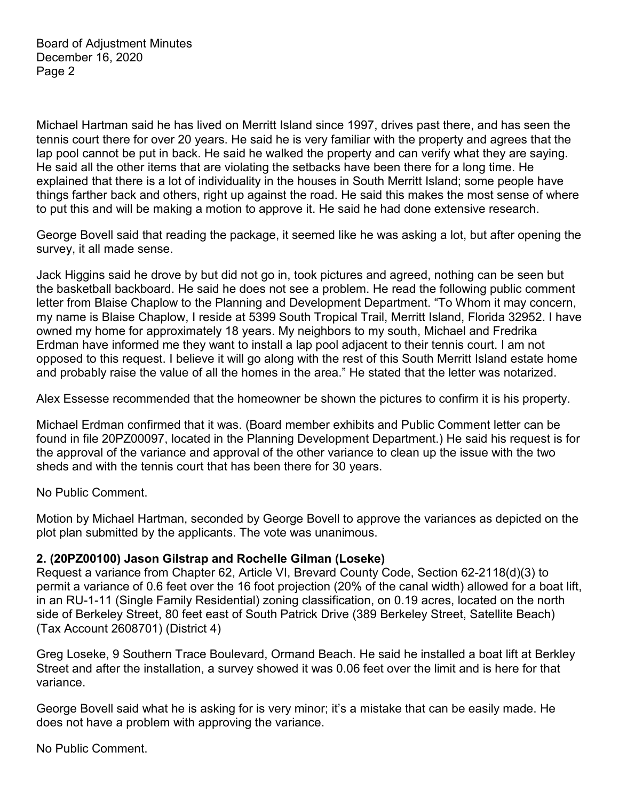Michael Hartman said he has lived on Merritt Island since 1997, drives past there, and has seen the tennis court there for over 20 years. He said he is very familiar with the property and agrees that the lap pool cannot be put in back. He said he walked the property and can verify what they are saying. He said all the other items that are violating the setbacks have been there for a long time. He explained that there is a lot of individuality in the houses in South Merritt Island; some people have things farther back and others, right up against the road. He said this makes the most sense of where to put this and will be making a motion to approve it. He said he had done extensive research.

George Bovell said that reading the package, it seemed like he was asking a lot, but after opening the survey, it all made sense.

Jack Higgins said he drove by but did not go in, took pictures and agreed, nothing can be seen but the basketball backboard. He said he does not see a problem. He read the following public comment letter from Blaise Chaplow to the Planning and Development Department. "To Whom it may concern, my name is Blaise Chaplow, I reside at 5399 South Tropical Trail, Merritt Island, Florida 32952. I have owned my home for approximately 18 years. My neighbors to my south, Michael and Fredrika Erdman have informed me they want to install a lap pool adjacent to their tennis court. I am not opposed to this request. I believe it will go along with the rest of this South Merritt Island estate home and probably raise the value of all the homes in the area." He stated that the letter was notarized.

Alex Essesse recommended that the homeowner be shown the pictures to confirm it is his property.

Michael Erdman confirmed that it was. (Board member exhibits and Public Comment letter can be found in file 20PZ00097, located in the Planning Development Department.) He said his request is for the approval of the variance and approval of the other variance to clean up the issue with the two sheds and with the tennis court that has been there for 30 years.

No Public Comment.

Motion by Michael Hartman, seconded by George Bovell to approve the variances as depicted on the plot plan submitted by the applicants. The vote was unanimous.

#### **2. (20PZ00100) Jason Gilstrap and Rochelle Gilman (Loseke)**

Request a variance from Chapter 62, Article VI, Brevard County Code, Section 62-2118(d)(3) to permit a variance of 0.6 feet over the 16 foot projection (20% of the canal width) allowed for a boat lift, in an RU-1-11 (Single Family Residential) zoning classification, on 0.19 acres, located on the north side of Berkeley Street, 80 feet east of South Patrick Drive (389 Berkeley Street, Satellite Beach) (Tax Account 2608701) (District 4)

Greg Loseke, 9 Southern Trace Boulevard, Ormand Beach. He said he installed a boat lift at Berkley Street and after the installation, a survey showed it was 0.06 feet over the limit and is here for that variance.

George Bovell said what he is asking for is very minor; it's a mistake that can be easily made. He does not have a problem with approving the variance.

No Public Comment.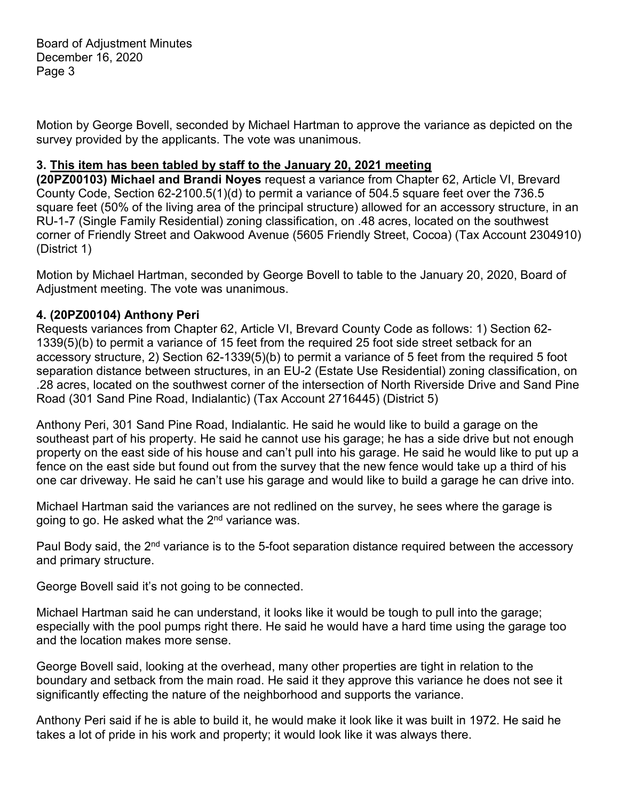Board of Adjustment Minutes December 16, 2020 Page 3

Motion by George Bovell, seconded by Michael Hartman to approve the variance as depicted on the survey provided by the applicants. The vote was unanimous.

#### **3. This item has been tabled by staff to the January 20, 2021 meeting**

**(20PZ00103) Michael and Brandi Noyes** request a variance from Chapter 62, Article VI, Brevard County Code, Section 62-2100.5(1)(d) to permit a variance of 504.5 square feet over the 736.5 square feet (50% of the living area of the principal structure) allowed for an accessory structure, in an RU-1-7 (Single Family Residential) zoning classification, on .48 acres, located on the southwest corner of Friendly Street and Oakwood Avenue (5605 Friendly Street, Cocoa) (Tax Account 2304910) (District 1)

Motion by Michael Hartman, seconded by George Bovell to table to the January 20, 2020, Board of Adjustment meeting. The vote was unanimous.

### **4. (20PZ00104) Anthony Peri**

Requests variances from Chapter 62, Article VI, Brevard County Code as follows: 1) Section 62- 1339(5)(b) to permit a variance of 15 feet from the required 25 foot side street setback for an accessory structure, 2) Section 62-1339(5)(b) to permit a variance of 5 feet from the required 5 foot separation distance between structures, in an EU-2 (Estate Use Residential) zoning classification, on .28 acres, located on the southwest corner of the intersection of North Riverside Drive and Sand Pine Road (301 Sand Pine Road, Indialantic) (Tax Account 2716445) (District 5)

Anthony Peri, 301 Sand Pine Road, Indialantic. He said he would like to build a garage on the southeast part of his property. He said he cannot use his garage; he has a side drive but not enough property on the east side of his house and can't pull into his garage. He said he would like to put up a fence on the east side but found out from the survey that the new fence would take up a third of his one car driveway. He said he can't use his garage and would like to build a garage he can drive into.

Michael Hartman said the variances are not redlined on the survey, he sees where the garage is going to go. He asked what the 2<sup>nd</sup> variance was.

Paul Body said, the 2<sup>nd</sup> variance is to the 5-foot separation distance required between the accessory and primary structure.

George Bovell said it's not going to be connected.

Michael Hartman said he can understand, it looks like it would be tough to pull into the garage; especially with the pool pumps right there. He said he would have a hard time using the garage too and the location makes more sense.

George Bovell said, looking at the overhead, many other properties are tight in relation to the boundary and setback from the main road. He said it they approve this variance he does not see it significantly effecting the nature of the neighborhood and supports the variance.

Anthony Peri said if he is able to build it, he would make it look like it was built in 1972. He said he takes a lot of pride in his work and property; it would look like it was always there.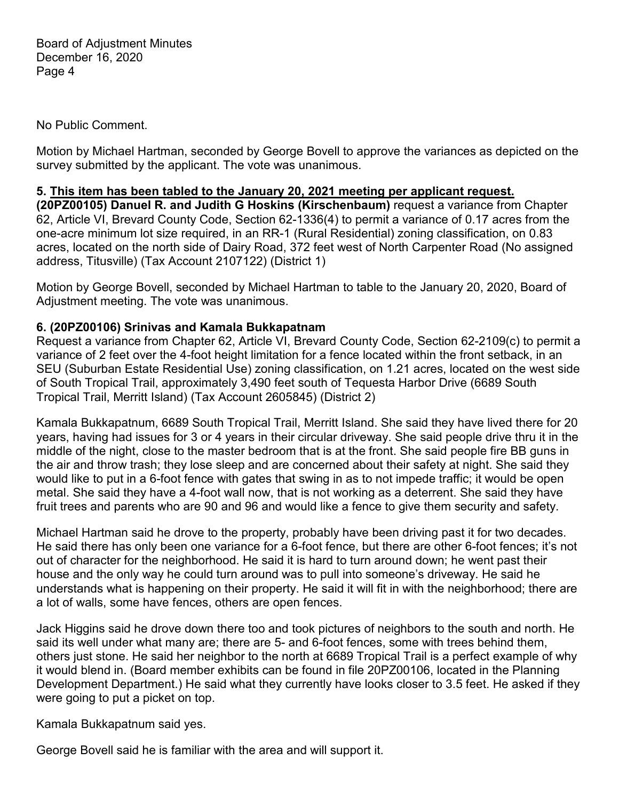No Public Comment.

Motion by Michael Hartman, seconded by George Bovell to approve the variances as depicted on the survey submitted by the applicant. The vote was unanimous.

#### **5. This item has been tabled to the January 20, 2021 meeting per applicant request.**

**(20PZ00105) Danuel R. and Judith G Hoskins (Kirschenbaum)** request a variance from Chapter 62, Article VI, Brevard County Code, Section 62-1336(4) to permit a variance of 0.17 acres from the one-acre minimum lot size required, in an RR-1 (Rural Residential) zoning classification, on 0.83 acres, located on the north side of Dairy Road, 372 feet west of North Carpenter Road (No assigned address, Titusville) (Tax Account 2107122) (District 1)

Motion by George Bovell, seconded by Michael Hartman to table to the January 20, 2020, Board of Adjustment meeting. The vote was unanimous.

## **6. (20PZ00106) Srinivas and Kamala Bukkapatnam**

Request a variance from Chapter 62, Article VI, Brevard County Code, Section 62-2109(c) to permit a variance of 2 feet over the 4-foot height limitation for a fence located within the front setback, in an SEU (Suburban Estate Residential Use) zoning classification, on 1.21 acres, located on the west side of South Tropical Trail, approximately 3,490 feet south of Tequesta Harbor Drive (6689 South Tropical Trail, Merritt Island) (Tax Account 2605845) (District 2)

Kamala Bukkapatnum, 6689 South Tropical Trail, Merritt Island. She said they have lived there for 20 years, having had issues for 3 or 4 years in their circular driveway. She said people drive thru it in the middle of the night, close to the master bedroom that is at the front. She said people fire BB guns in the air and throw trash; they lose sleep and are concerned about their safety at night. She said they would like to put in a 6-foot fence with gates that swing in as to not impede traffic; it would be open metal. She said they have a 4-foot wall now, that is not working as a deterrent. She said they have fruit trees and parents who are 90 and 96 and would like a fence to give them security and safety.

Michael Hartman said he drove to the property, probably have been driving past it for two decades. He said there has only been one variance for a 6-foot fence, but there are other 6-foot fences; it's not out of character for the neighborhood. He said it is hard to turn around down; he went past their house and the only way he could turn around was to pull into someone's driveway. He said he understands what is happening on their property. He said it will fit in with the neighborhood; there are a lot of walls, some have fences, others are open fences.

Jack Higgins said he drove down there too and took pictures of neighbors to the south and north. He said its well under what many are; there are 5- and 6-foot fences, some with trees behind them, others just stone. He said her neighbor to the north at 6689 Tropical Trail is a perfect example of why it would blend in. (Board member exhibits can be found in file 20PZ00106, located in the Planning Development Department.) He said what they currently have looks closer to 3.5 feet. He asked if they were going to put a picket on top.

Kamala Bukkapatnum said yes.

George Bovell said he is familiar with the area and will support it.